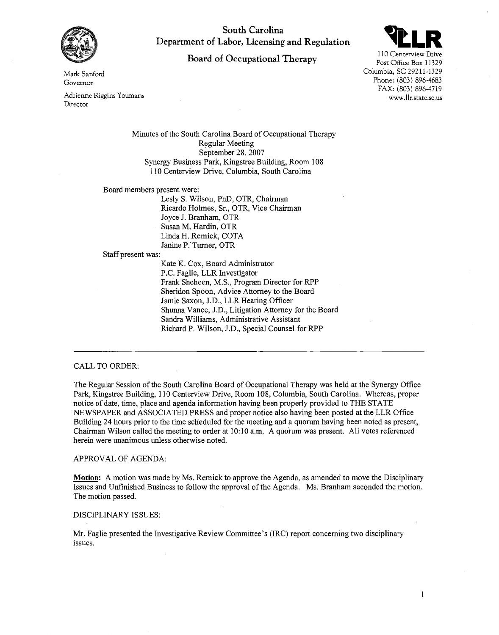

**South Carolina Department of Labor, Licensing and Regulation** 

# **Board of Occupational Therapy** 110 Centerview Drive



FAX: (803) 896-4719 www.llr.state.sc.us

**Mark** Sanford Governor

Adrienne Riggins Youmans Director

> Minutes of the South Carolina Board of Occupational Therapy Regular Meeting September 28, 2007 Synergy Business Park, Kingstree Building, Room 108 1 10 Centerview Drive, Columbia, South Carolina

Board members present were:

Lesly S. Wilson, PhD, OTR, Chairman Ricardo Holmes, Sr., OTR, Vice Chairman Joyce J. Branham, OTR Susan M. Hardin, OTR Linda H. Remick, COTA Janine P.' Turner, OTR

Staff present was:

Kate K. Cox, Board Administrator P.C. Faglie, LLR Investigator Frank Sheheen, M.S., Program Director for RPP Sheridon Spoon, Advice Attorney to the Board Jamie Saxon, J.D., LLR Hearing Officer Shunna Vance, J.D., Litigation Attorney for the Board Sandra Williams, Administrative Assistant Richard P. Wilson, J.D., Special Counsel for RPP

## CALL TO ORDER:

The Regular Session of the South Carolina Board of Occupational Therapy was held at the Synergy Office Park, Kingstree Building, 1 10 Centerview Drive, Room 108, Columbia, South Carolina. Whereas, proper notice of date, time, place and agenda information having been properly provided to THE STATE NEWSPAPER and ASSOCIATED PRESS and proper notice also having been posted at the LLR Office Building 24 hours prior to the time scheduled for the meeting and a quorum having been noted as present, Chairman Wilson called the meeting to order at 10:10 a.m. A quorum was present. All votes referenced herein were unanimous unless otherwise noted.

APPROVAL OF AGENDA:

**Motion:** A motion was made by Ms. Remick to approve the Agenda, as amended to move the Disciplinary Issues and Unfinished Business to follow the approval of the Agenda. Ms. Branham seconded the motion. The motion passed.

## DISCIPLINARY ISSUES:

Mr. Faglie presented the Investigative Review Committee's (IRC) report concerning two disciplinary issues.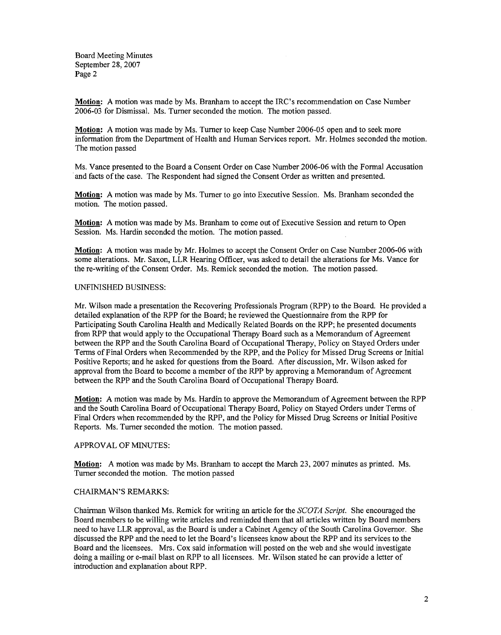Board Meeting Minutes September **28,2007**  Page **2** 

**Motion:** A motion was made by Ms. Branham to accept the IRC's recommendation on Case Number **2006-03** for Dismissal. Ms. Turner seconded the motion. The motion passed.

**Motion:** A motion was made by Ms. Turner to keep Case Number **2006-05** open and to seek more information from the Department of Health and Human Services report. Mr. Holmes seconded the motion. The motion passed

Ms. Vance presented to the Board a Consent Order on Case Number **2006-06** with the Formal Accusation and facts of the case. The Respondent had signed the Consent Order as written and presented.

**Motion:** A motion was made by Ms. Turner to go into Executive Session. Ms. Branham seconded the motion. The motion passed.

**Motion:** A motion was made by Ms. Branham to come out of Executive Session and return to Open Session. Ms. Hardin seconded the motion. The motion passed.

**Motion:** A motion was made by Mr. Holmes to accept the Consent Order on Case Number **2006-06** with some alterations. Mr. Saxon, LLR Hearing Officer, was asked to detail the alterations for Ms. Vance for the re-writing of the Consent Order. Ms. Remick seconded the motion. The motion passed.

## UNFINISHED BUSINESS:

Mr. Wilson made a presentation the Recovering Professionals Program (RPP) to the Board. He provided a detailed explanation of the RPP for the Board; he reviewed the Questionnaire from the RPP for Participating South Carolina Health and Medically Related Boards on the RPP; he presented documents from RPP that would apply to the Occupational Therapy Board such as a Memorandum of Agreement between the RPP and the South Carolina Board of Occupational Therapy, Policy on Stayed Orders under Terms of Final Orders when Recommended by the RPP, and the Policy for Missed Drug Screens or Initial Positive Reports; and he asked for questions from the Board. After discussion, Mr. Wilson asked for approval from the Board to become a member of the RPP by approving a Memorandum of Agreement between the RPP and the South Carolina Board of Occupational Therapy Board.

**Motion:** A motion was made by Ms. Hardin to approve the Memorandum of Agreement between the RPP and the South Carolina Board of Occupational Therapy Board, Policy on Stayed Orders under Terms of Final Orders when recommended by the RPP, and the Policy for Missed Drug Screens or Initial Positive Reports. Ms. Turner seconded the motion. The motion passed.

## APPROVAL OF MINUTES:

**Motion:** A motion was made by Ms. Branham to accept the March **23,2007** minutes as printed. Ms. Turner seconded the motion. The motion passed

#### CHAIRMAN'S REMARKS:

Chairman Wilson thanked Ms. Remick for writing an article for the SCOTA Script. She encouraged the Board members to be willing write articles and reminded them that all articles written by Board members need to have LLR approval, as the Board is under a Cabinet Agency of the South Carolina Governor. She discussed the RPP and the need to let the Board's licensees know about the RPP and its services to the Board and the licensees. Mrs. Cox said information will posted on the web and she would investigate doing a mailing or e-mail blast on RPP to all licensees. Mr. Wilson stated he can provide a letter of introduction and explanation about RPP.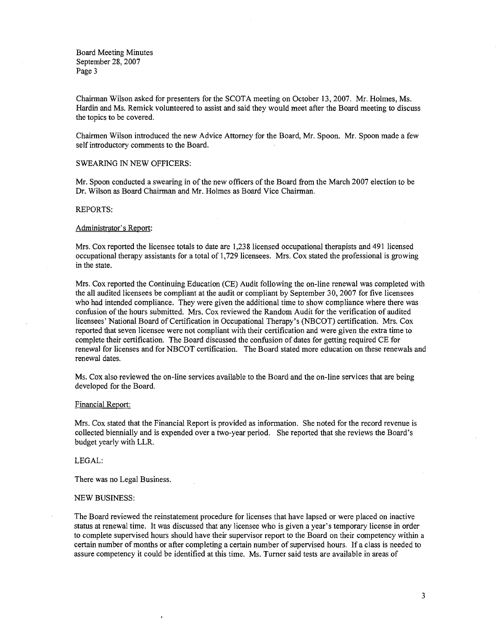Board Meeting Minutes September 28, 2007 Page 3

Chairman Wilson asked for presenters for the SCOTA meeting on October 13,2007. Mr. Holmes, Ms. Hardin and Ms. Remick volunteered to assist and said they would meet after the Board meeting to discuss the topics to be covered.

Chairmen Wilson introduced the new Advice Attorney for the Board, Mr. Spoon. Mr. Spoon made a few self introductory comments to the Board.

#### SWEARING IN NEW OFFICERS:

Mr. Spoon conducted a swearing in of the new officers of the Board fiom the March 2007 election to be Dr. Wilson as Board Chairman and Mr. Holmes as Board Vice Chairman.

## REPORTS:

#### Administrator's Report:

Mrs. Cox reported the licensee totals to date are 1,238 licensed occupational therapists and 491 licensed occupational therapy assistants for a total of 1,729 licensees. Mrs. Cox stated the professional is growing in the state.

Mrs. Cox reported the Continuing Education (CE) Audit following the on-line renewal was completed with the all audited licensees be compliant at the audit or compliant by September 30,2007 for five licensees who had intended compliance. They were given the additional time to show compliance where there was confusion of the hours submitted. Mrs. Cox reviewed the Random Audit for the verification of audited licensees' National Board of Certification in Occupational Therapy's (NBCOT) certification. Mrs. Cox reported that seven licensee were not compliant with their certification and were given the extra time to complete their certification. The Board discussed the confusion of dates for getting required CE for renewal for licenses and for NBCOT certification. The Board stated more education on these renewals and renewal dates.

Ms. Cox also reviewed the on-line services available to the Board and the on-line services that are being developed for the Board.

#### Financial Report:

Mrs. Cox stated that the Financial Report is provided as information. She noted for the record revenue is collected biennially and is expended over a two-year period. She reported that she reviews the Board's budget yearly with LLR.

#### LEGAL:

There was no Legal Business.

 $\lambda$ 

#### NEW BUSINESS:

The Board reviewed the reinstatement procedure for licenses that have lapsed or were placed on inactive status at renewal time. It was discussed that any licensee who is given a year's temporary license in order to complete supervised hours should have their supervisor report to the Board on their competency within a certain number of months or after completing a certain number of supervised hours. If a class is needed to assure competency it could be identified at this time. Ms. Turner said tests are available in areas of